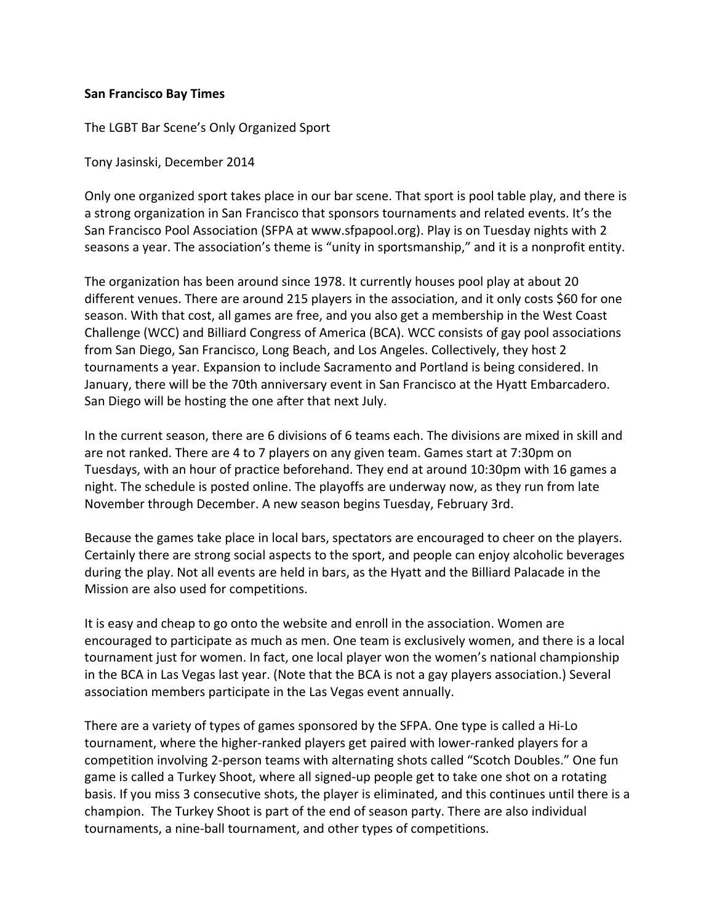## **San Francisco Bay Times**

The LGBT Bar Scene's Only Organized Sport

Tony Jasinski, December 2014

Only one organized sport takes place in our bar scene. That sport is pool table play, and there is a strong organization in San Francisco that sponsors tournaments and related events. It's the San Francisco Pool Association (SFPA at www.sfpapool.org). Play is on Tuesday nights with 2 seasons a year. The association's theme is "unity in sportsmanship," and it is a nonprofit entity.

The organization has been around since 1978. It currently houses pool play at about 20 different venues. There are around 215 players in the association, and it only costs \$60 for one season. With that cost, all games are free, and you also get a membership in the West Coast Challenge (WCC) and Billiard Congress of America (BCA). WCC consists of gay pool associations from San Diego, San Francisco, Long Beach, and Los Angeles. Collectively, they host 2 tournaments a year. Expansion to include Sacramento and Portland is being considered. In January, there will be the 70th anniversary event in San Francisco at the Hyatt Embarcadero. San Diego will be hosting the one after that next July.

In the current season, there are 6 divisions of 6 teams each. The divisions are mixed in skill and are not ranked. There are 4 to 7 players on any given team. Games start at 7:30pm on Tuesdays, with an hour of practice beforehand. They end at around 10:30pm with 16 games a night. The schedule is posted online. The playoffs are underway now, as they run from late November through December. A new season begins Tuesday, February 3rd.

Because the games take place in local bars, spectators are encouraged to cheer on the players. Certainly there are strong social aspects to the sport, and people can enjoy alcoholic beverages during the play. Not all events are held in bars, as the Hyatt and the Billiard Palacade in the Mission are also used for competitions.

It is easy and cheap to go onto the website and enroll in the association. Women are encouraged to participate as much as men. One team is exclusively women, and there is a local tournament just for women. In fact, one local player won the women's national championship in the BCA in Las Vegas last year. (Note that the BCA is not a gay players association.) Several association members participate in the Las Vegas event annually.

There are a variety of types of games sponsored by the SFPA. One type is called a Hi-Lo tournament, where the higher-ranked players get paired with lower-ranked players for a competition involving 2-person teams with alternating shots called "Scotch Doubles." One fun game is called a Turkey Shoot, where all signed-up people get to take one shot on a rotating basis. If you miss 3 consecutive shots, the player is eliminated, and this continues until there is a champion. The Turkey Shoot is part of the end of season party. There are also individual tournaments, a nine-ball tournament, and other types of competitions.